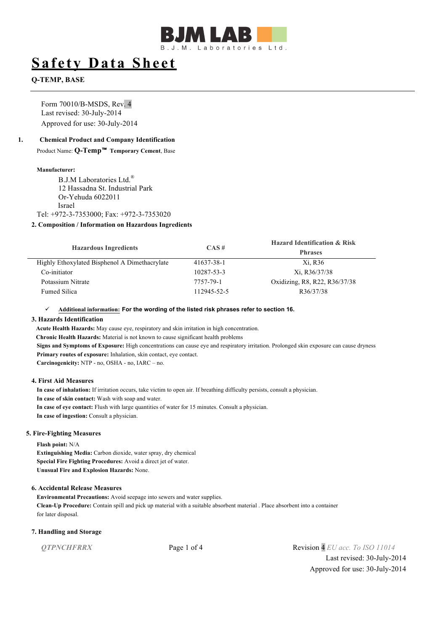

# **Safety Data Sheet**

# **Q-TEMP, BASE**

Form 70010/B-MSDS, Rev. 4 Last revised: 30-July-2014 Approved for use: 30-July-2014

## **1. Chemical Product and Company Identification**

Product Name: **Q-Temp**™ **Temporary Cement**, Base

### **Manufacturer:**

B.J.M Laboratories Ltd.<sup>®</sup> 12 Hassadna St. Industrial Park Or-Yehuda 6022011 Israel Tel: +972-3-7353000; Fax: +972-3-7353020

# **2. Composition / Information on Hazardous Ingredients**

| <b>Hazardous Ingredients</b>                  | $CAS \#$    | <b>Hazard Identification &amp; Risk</b><br><b>Phrases</b> |
|-----------------------------------------------|-------------|-----------------------------------------------------------|
| Highly Ethoxylated Bisphenol A Dimethacrylate | 41637-38-1  | Xi, R36                                                   |
| Co-initiator                                  | 10287-53-3  | Xi, R36/37/38                                             |
| Potassium Nitrate                             | 7757-79-1   | Oxidizing, R8, R22, R36/37/38                             |
| <b>Fumed Silica</b>                           | 112945-52-5 | R36/37/38                                                 |

#### ü **Additional information: For the wording of the listed risk phrases refer to section 16.**

### **3. Hazards Identification**

**Acute Health Hazards:** May cause eye, respiratory and skin irritation in high concentration. **Chronic Health Hazards:** Material is not known to cause significant health problems **Signs and Symptoms of Exposure:** High concentrations can cause eye and respiratory irritation. Prolonged skin exposure can cause dryness **Primary routes of exposure:** Inhalation, skin contact, eye contact. **Carcinogenicity:** NTP - no, OSHA - no, IARC – no.

### **4. First Aid Measures**

**In case of inhalation:** If irritation occurs, take victim to open air. If breathing difficulty persists, consult a physician. **In case of skin contact:** Wash with soap and water. **In case of eye contact:** Flush with large quantities of water for 15 minutes. Consult a physician. **In case of ingestion:** Consult a physician.

### **5. Fire-Fighting Measures**

**Flash point:** N/A **Extinguishing Media:** Carbon dioxide, water spray, dry chemical

**Special Fire Fighting Procedures:** Avoid a direct jet of water. **Unusual Fire and Explosion Hazards:** None.

### **6. Accidental Release Measures**

**Environmental Precautions:** Avoid seepage into sewers and water supplies. **Clean-Up Procedure:** Contain spill and pick up material with a suitable absorbent material . Place absorbent into a container for later disposal.

### **7. Handling and Storage**

*QTPNCHFRRX* Page 1 of 4 Revision 4 *EU acc. To ISO 11014* Last revised: 30-July-2014 Approved for use: 30-July-2014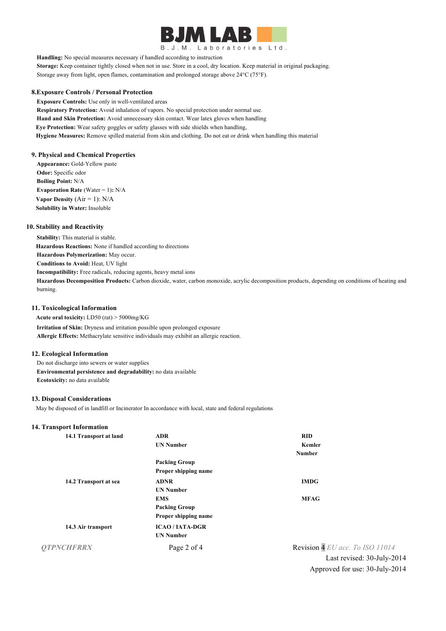

B.J.M. Laboratories Ltd.

**Handling:** No special measures necessary if handled according to instruction

**Storage:** Keep container tightly closed when not in use. Store in a cool, dry location. Keep material in original packaging. Storage away from light, open flames, contamination and prolonged storage above 24°C (75°F).

#### **8.Exposure Controls / Personal Protection**

**Exposure Controls:** Use only in well-ventilated areas **Respiratory Protection:** Avoid inhalation of vapors. No special protection under normal use. **Hand and Skin Protection:** Avoid unnecessary skin contact. Wear latex gloves when handling **Eye Protection:** Wear safety goggles or safety glasses with side shields when handling, **Hygiene Measures:** Remove spilled material from skin and clothing. Do not eat or drink when handling this material

## **9. Physical and Chemical Properties**

**Appearance:** Gold-Yellow paste **Odor:** Specific odor **Boiling Point:** N/A **Evaporation Rate** (Water = 1)**:** N/A **Vapor Density**  $(Air = 1)$ :  $N/A$ **Solubility in Water:** Insoluble

#### **10. Stability and Reactivity**

**Stability:** This material is stable. **Hazardous Reactions:** None if handled according to directions

**Hazardous Polymerization:** May occur.

**Conditions to Avoid:** Heat, UV light

**Incompatibility:** Free radicals, reducing agents, heavy metal ions

**Hazardous Decomposition Products:** Carbon dioxide, water, carbon monoxide, acrylic decomposition products, depending on conditions of heating and burning.

#### **11. Toxicological Information**

**Acute oral toxicity:** LD50 (rat) > 5000mg/KG

**Irritation of Skin:** Dryness and irritation possible upon prolonged exposure **Allergic Effects:** Methacrylate sensitive individuals may exhibit an allergic reaction.

### **12. Ecological Information**

Do not discharge into sewers or water supplies **Environmental persistence and degradability:** no data available **Ecotoxicity:** no data available

### **13. Disposal Considerations**

May be disposed of in landfill or Incinerator In accordance with local, state and federal regulations

#### **14. Transport Information**

| 14.1 Transport at land | <b>ADR</b>           | <b>RID</b>                      |
|------------------------|----------------------|---------------------------------|
|                        | <b>UN Number</b>     | Kemler                          |
|                        |                      | <b>Number</b>                   |
|                        | <b>Packing Group</b> |                                 |
|                        | Proper shipping name |                                 |
| 14.2 Transport at sea  | <b>ADNR</b>          | <b>IMDG</b>                     |
|                        | <b>UN Number</b>     |                                 |
|                        | <b>EMS</b>           | <b>MFAG</b>                     |
|                        | <b>Packing Group</b> |                                 |
|                        | Proper shipping name |                                 |
| 14.3 Air transport     | <b>ICAO/IATA-DGR</b> |                                 |
|                        | <b>UN Number</b>     |                                 |
| <b>OTPNCHFRRX</b>      | Page 2 of 4          | Revision 4 EU acc. To ISO 11014 |
|                        |                      | Last revised: 30-July-2         |

d:  $30$ -July-2014 Approved for use: 30-July-2014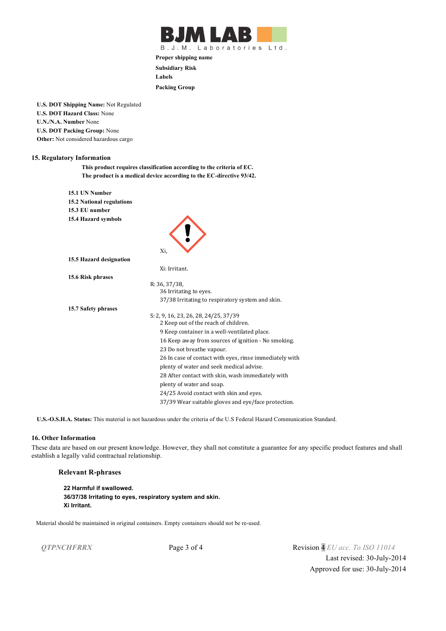

B.J.M. Laboratories Ltd.

**Proper shipping name Subsidiary Risk Labels Packing Group**

**U.S. DOT Shipping Name:** Not Regulated **U.S. DOT Hazard Class:** None **U.N./N.A. Number** None **U.S. DOT Packing Group:** None **Other:** Not considered hazardous cargo

### **15. Regulatory Information**

**This product requires classification according to the criteria of EC. The product is a medical device according to the EC-directive 93/42.**

| 15.1 UN Number                   |                                                         |
|----------------------------------|---------------------------------------------------------|
| <b>15.2 National regulations</b> |                                                         |
| 15.3 EU number                   |                                                         |
| 15.4 Hazard symbols              |                                                         |
|                                  |                                                         |
|                                  |                                                         |
|                                  |                                                         |
|                                  | Xi,                                                     |
| 15.5 Hazard designation          |                                                         |
|                                  | Xi: Irritant.                                           |
| 15.6 Risk phrases                |                                                         |
|                                  | R: 36, 37/38,                                           |
|                                  | 36 Irritating to eyes.                                  |
|                                  | 37/38 Irritating to respiratory system and skin.        |
| 15.7 Safety phrases              |                                                         |
|                                  | S: 2, 9, 16, 23, 26, 28, 24/25, 37/39                   |
|                                  | 2 Keep out of the reach of children.                    |
|                                  | 9 Keep container in a well-ventilated place.            |
|                                  | 16 Keep away from sources of ignition - No smoking.     |
|                                  | 23 Do not breathe vapour.                               |
|                                  | 26 In case of contact with eyes, rinse immediately with |
|                                  | plenty of water and seek medical advise.                |
|                                  | 28 After contact with skin, wash immediately with       |
|                                  | plenty of water and soap.                               |
|                                  | 24/25 Avoid contact with skin and eyes.                 |
|                                  |                                                         |
|                                  | 37/39 Wear suitable gloves and eye/face protection.     |

**U.S.-O.S.H.A. Status:** This material is not hazardous under the criteria of the U.S Federal Hazard Communication Standard.

## **16. Other Information**

These data are based on our present knowledge. However, they shall not constitute a guarantee for any specific product features and shall establish a legally valid contractual relationship.

## **Relevant R-phrases**

```
22 Harmful if swallowed.
36/37/38 Irritating to eyes, respiratory system and skin.
Xi Irritant.
```
Material should be maintained in original containers. Empty containers should not be re-used.

*QTPNCHFRRX* Page 3 of 4 Revision 4 *EU acc. To ISO 11014* Last revised: 30-July-2014 Approved for use: 30-July-2014